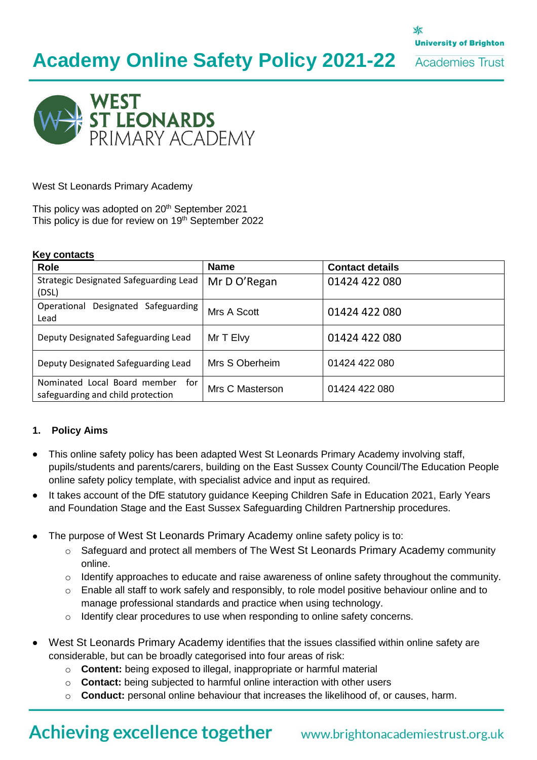X **University of Brighton** 

**Academies Trust** 



West St Leonards Primary Academy

This policy was adopted on 20<sup>th</sup> September 2021 This policy is due for review on 19<sup>th</sup> September 2022

#### **Key contacts**

| <b>Role</b>                                                              | <b>Name</b>     | <b>Contact details</b> |
|--------------------------------------------------------------------------|-----------------|------------------------|
| Strategic Designated Safeguarding Lead<br>(DSL)                          | Mr D O'Regan    | 01424 422 080          |
| Designated Safeguarding<br>Operational<br>Lead                           | Mrs A Scott     | 01424 422 080          |
| Deputy Designated Safeguarding Lead                                      | Mr T Elvy       | 01424 422 080          |
| Deputy Designated Safeguarding Lead                                      | Mrs S Oberheim  | 01424 422 080          |
| Nominated Local Board member<br>for<br>safeguarding and child protection | Mrs C Masterson | 01424 422 080          |

#### **1. Policy Aims**

- This online safety policy has been adapted West St Leonards Primary Academy involving staff, pupils/students and parents/carers, building on the East Sussex County Council/The Education People online safety policy template, with specialist advice and input as required.
- It takes account of the DfE statutory guidance Keeping Children Safe in Education 2021, Early Years and Foundation Stage and the East Sussex Safeguarding Children Partnership procedures.
- The purpose of West St Leonards Primary Academy online safety policy is to:
	- $\circ$  Safeguard and protect all members of The West St Leonards Primary Academy community online.
	- o Identify approaches to educate and raise awareness of online safety throughout the community.
	- o Enable all staff to work safely and responsibly, to role model positive behaviour online and to manage professional standards and practice when using technology.
	- o Identify clear procedures to use when responding to online safety concerns.
- West St Leonards Primary Academy identifies that the issues classified within online safety are considerable, but can be broadly categorised into four areas of risk:
	- o **Content:** being exposed to illegal, inappropriate or harmful material
	- o **Contact:** being subjected to harmful online interaction with other users
	- o **Conduct:** personal online behaviour that increases the likelihood of, or causes, harm.

# **Achieving excellence together**

# www.brightonacademiestrust.org.uk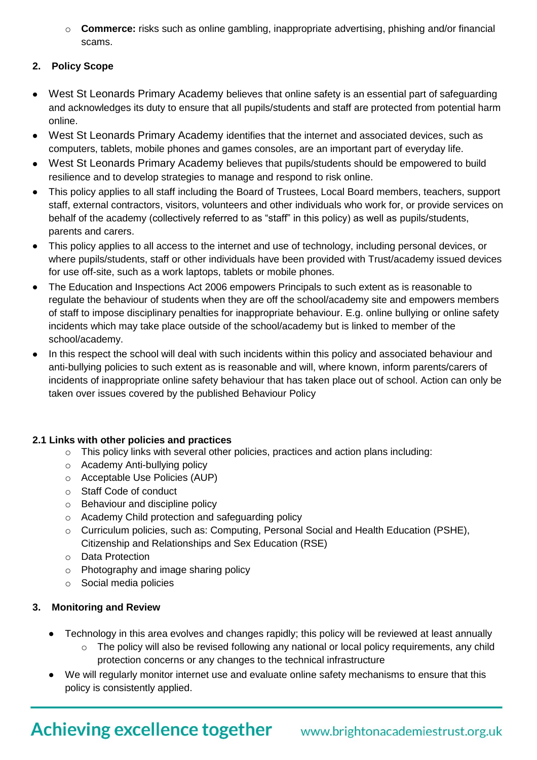o **Commerce:** risks such as online gambling, inappropriate advertising, phishing and/or financial scams.

### **2. Policy Scope**

- West St Leonards Primary Academy believes that online safety is an essential part of safeguarding and acknowledges its duty to ensure that all pupils/students and staff are protected from potential harm online.
- West St Leonards Primary Academy identifies that the internet and associated devices, such as computers, tablets, mobile phones and games consoles, are an important part of everyday life.
- West St Leonards Primary Academy believes that pupils/students should be empowered to build resilience and to develop strategies to manage and respond to risk online.
- This policy applies to all staff including the Board of Trustees, Local Board members, teachers, support staff, external contractors, visitors, volunteers and other individuals who work for, or provide services on behalf of the academy (collectively referred to as "staff" in this policy) as well as pupils/students, parents and carers.
- This policy applies to all access to the internet and use of technology, including personal devices, or where pupils/students, staff or other individuals have been provided with Trust/academy issued devices for use off-site, such as a work laptops, tablets or mobile phones.
- The Education and Inspections Act 2006 empowers Principals to such extent as is reasonable to regulate the behaviour of students when they are off the school/academy site and empowers members of staff to impose disciplinary penalties for inappropriate behaviour. E.g. online bullying or online safety incidents which may take place outside of the school/academy but is linked to member of the school/academy.
- In this respect the school will deal with such incidents within this policy and associated behaviour and anti-bullying policies to such extent as is reasonable and will, where known, inform parents/carers of incidents of inappropriate online safety behaviour that has taken place out of school. Action can only be taken over issues covered by the published Behaviour Policy

#### **2.1 Links with other policies and practices**

- o This policy links with several other policies, practices and action plans including:
- o Academy Anti-bullying policy
- o Acceptable Use Policies (AUP)
- o Staff Code of conduct
- o Behaviour and discipline policy
- o Academy Child protection and safeguarding policy
- $\circ$  Curriculum policies, such as: Computing, Personal Social and Health Education (PSHE), Citizenship and Relationships and Sex Education (RSE)
- o Data Protection
- o Photography and image sharing policy
- o Social media policies

# **3. Monitoring and Review**

- Technology in this area evolves and changes rapidly; this policy will be reviewed at least annually
	- $\circ$  The policy will also be revised following any national or local policy requirements, any child protection concerns or any changes to the technical infrastructure
- We will regularly monitor internet use and evaluate online safety mechanisms to ensure that this policy is consistently applied.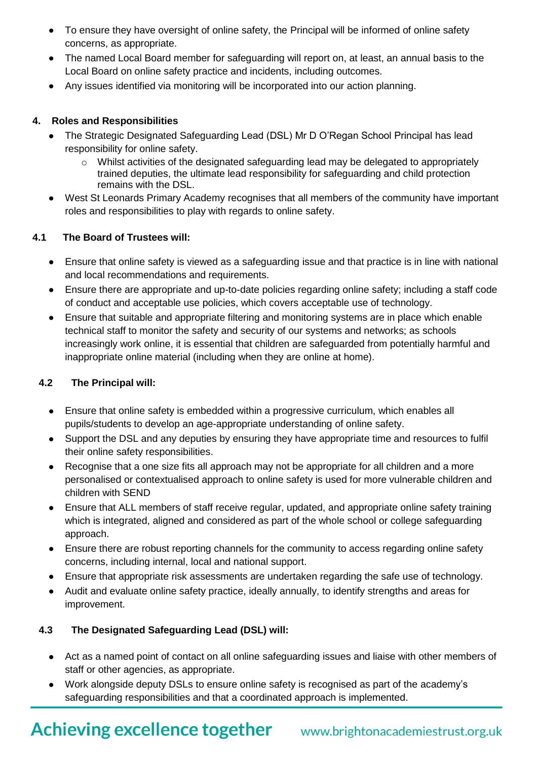- To ensure they have oversight of online safety, the Principal will be informed of online safety concerns, as appropriate.
- The named Local Board member for safeguarding will report on, at least, an annual basis to the Local Board on online safety practice and incidents, including outcomes.
- Any issues identified via monitoring will be incorporated into our action planning.

### **4. Roles and Responsibilities**

- The Strategic Designated Safeguarding Lead (DSL) Mr D O'Regan School Principal has lead responsibility for online safety.
	- $\circ$  Whilst activities of the designated safeguarding lead may be delegated to appropriately trained deputies, the ultimate lead responsibility for safeguarding and child protection remains with the DSL.
- West St Leonards Primary Academy recognises that all members of the community have important roles and responsibilities to play with regards to online safety.

### **4.1 The Board of Trustees will:**

- Ensure that online safety is viewed as a safeguarding issue and that practice is in line with national and local recommendations and requirements.
- Ensure there are appropriate and up-to-date policies regarding online safety; including a staff code of conduct and acceptable use policies, which covers acceptable use of technology.
- Ensure that suitable and appropriate filtering and monitoring systems are in place which enable technical staff to monitor the safety and security of our systems and networks; as schools increasingly work online, it is essential that children are safeguarded from potentially harmful and inappropriate online material (including when they are online at home).

# **4.2 The Principal will:**

- Ensure that online safety is embedded within a progressive curriculum, which enables all pupils/students to develop an age-appropriate understanding of online safety.
- Support the DSL and any deputies by ensuring they have appropriate time and resources to fulfil their online safety responsibilities.
- Recognise that a one size fits all approach may not be appropriate for all children and a more personalised or contextualised approach to online safety is used for more vulnerable children and children with SEND
- Ensure that ALL members of staff receive regular, updated, and appropriate online safety training which is integrated, aligned and considered as part of the whole school or college safeguarding approach.
- Ensure there are robust reporting channels for the community to access regarding online safety concerns, including internal, local and national support.
- Ensure that appropriate risk assessments are undertaken regarding the safe use of technology.
- Audit and evaluate online safety practice, ideally annually, to identify strengths and areas for improvement.

# **4.3 The Designated Safeguarding Lead (DSL) will:**

- Act as a named point of contact on all online safeguarding issues and liaise with other members of staff or other agencies, as appropriate.
- Work alongside deputy DSLs to ensure online safety is recognised as part of the academy's safeguarding responsibilities and that a coordinated approach is implemented.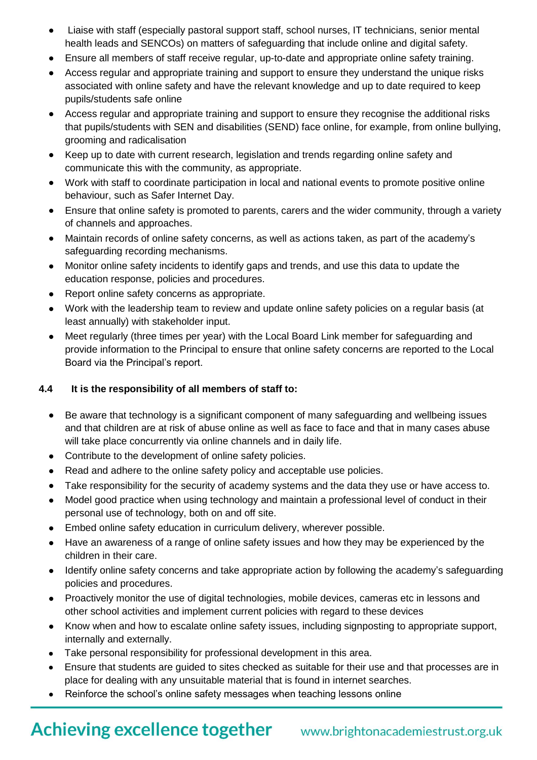- Liaise with staff (especially pastoral support staff, school nurses, IT technicians, senior mental health leads and SENCOs) on matters of safeguarding that include online and digital safety.
- Ensure all members of staff receive regular, up-to-date and appropriate online safety training.
- Access regular and appropriate training and support to ensure they understand the unique risks associated with online safety and have the relevant knowledge and up to date required to keep pupils/students safe online
- Access regular and appropriate training and support to ensure they recognise the additional risks that pupils/students with SEN and disabilities (SEND) face online, for example, from online bullying, grooming and radicalisation
- Keep up to date with current research, legislation and trends regarding online safety and communicate this with the community, as appropriate.
- Work with staff to coordinate participation in local and national events to promote positive online behaviour, such as Safer Internet Day.
- Ensure that online safety is promoted to parents, carers and the wider community, through a variety of channels and approaches.
- Maintain records of online safety concerns, as well as actions taken, as part of the academy's safeguarding recording mechanisms.
- Monitor online safety incidents to identify gaps and trends, and use this data to update the education response, policies and procedures.
- Report online safety concerns as appropriate.
- Work with the leadership team to review and update online safety policies on a regular basis (at least annually) with stakeholder input.
- Meet regularly (three times per year) with the Local Board Link member for safeguarding and provide information to the Principal to ensure that online safety concerns are reported to the Local Board via the Principal's report.

#### **4.4 It is the responsibility of all members of staff to:**

- Be aware that technology is a significant component of many safeguarding and wellbeing issues and that children are at risk of abuse online as well as face to face and that in many cases abuse will take place concurrently via online channels and in daily life.
- Contribute to the development of online safety policies.
- Read and adhere to the online safety policy and acceptable use policies.
- Take responsibility for the security of academy systems and the data they use or have access to.
- Model good practice when using technology and maintain a professional level of conduct in their personal use of technology, both on and off site.
- Embed online safety education in curriculum delivery, wherever possible.
- Have an awareness of a range of online safety issues and how they may be experienced by the children in their care.
- Identify online safety concerns and take appropriate action by following the academy's safeguarding policies and procedures.
- Proactively monitor the use of digital technologies, mobile devices, cameras etc in lessons and other school activities and implement current policies with regard to these devices
- Know when and how to escalate online safety issues, including signposting to appropriate support, internally and externally.
- Take personal responsibility for professional development in this area.
- Ensure that students are guided to sites checked as suitable for their use and that processes are in place for dealing with any unsuitable material that is found in internet searches.
- Reinforce the school's online safety messages when teaching lessons online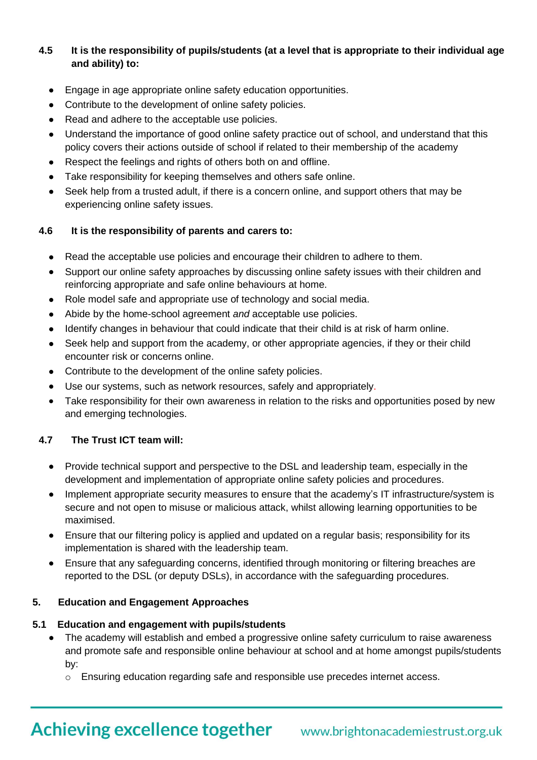# **4.5 It is the responsibility of pupils/students (at a level that is appropriate to their individual age and ability) to:**

- Engage in age appropriate online safety education opportunities.
- Contribute to the development of online safety policies.
- Read and adhere to the acceptable use policies.
- Understand the importance of good online safety practice out of school, and understand that this policy covers their actions outside of school if related to their membership of the academy
- Respect the feelings and rights of others both on and offline.
- Take responsibility for keeping themselves and others safe online.
- Seek help from a trusted adult, if there is a concern online, and support others that may be experiencing online safety issues.

### **4.6 It is the responsibility of parents and carers to:**

- Read the acceptable use policies and encourage their children to adhere to them.
- Support our online safety approaches by discussing online safety issues with their children and reinforcing appropriate and safe online behaviours at home.
- Role model safe and appropriate use of technology and social media.
- Abide by the home-school agreement *and* acceptable use policies.
- Identify changes in behaviour that could indicate that their child is at risk of harm online.
- Seek help and support from the academy, or other appropriate agencies, if they or their child encounter risk or concerns online.
- Contribute to the development of the online safety policies.
- Use our systems, such as network resources, safely and appropriately.
- Take responsibility for their own awareness in relation to the risks and opportunities posed by new and emerging technologies.

# **4.7 The Trust ICT team will:**

- Provide technical support and perspective to the DSL and leadership team, especially in the development and implementation of appropriate online safety policies and procedures.
- Implement appropriate security measures to ensure that the academy's IT infrastructure/system is secure and not open to misuse or malicious attack, whilst allowing learning opportunities to be maximised.
- Ensure that our filtering policy is applied and updated on a regular basis; responsibility for its implementation is shared with the leadership team.
- Ensure that any safeguarding concerns, identified through monitoring or filtering breaches are reported to the DSL (or deputy DSLs), in accordance with the safeguarding procedures.

# **5. Education and Engagement Approaches**

#### **5.1 Education and engagement with pupils/students**

- The academy will establish and embed a progressive online safety curriculum to raise awareness and promote safe and responsible online behaviour at school and at home amongst pupils/students by:
	- o Ensuring education regarding safe and responsible use precedes internet access.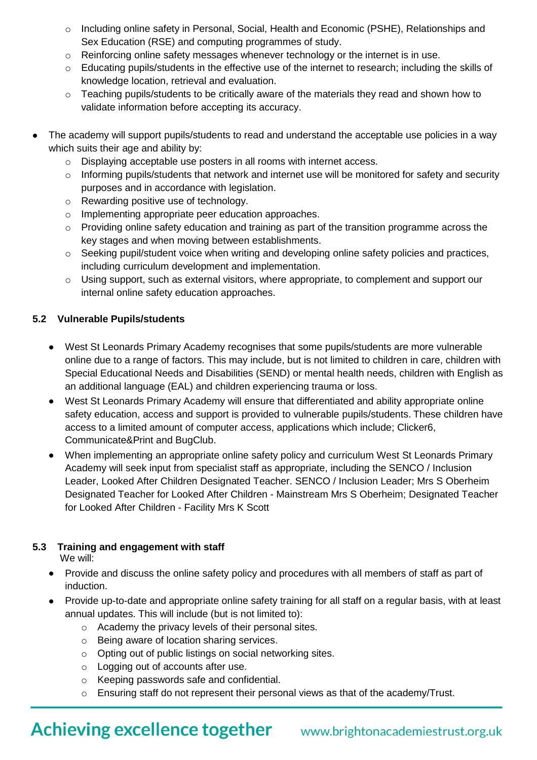- o Including online safety in Personal, Social, Health and Economic (PSHE), Relationships and Sex Education (RSE) and computing programmes of study.
- $\circ$  Reinforcing online safety messages whenever technology or the internet is in use.
- o Educating pupils/students in the effective use of the internet to research; including the skills of knowledge location, retrieval and evaluation.
- $\circ$  Teaching pupils/students to be critically aware of the materials they read and shown how to validate information before accepting its accuracy.
- The academy will support pupils/students to read and understand the acceptable use policies in a way which suits their age and ability by:
	- o Displaying acceptable use posters in all rooms with internet access.
	- $\circ$  Informing pupils/students that network and internet use will be monitored for safety and security purposes and in accordance with legislation.
	- o Rewarding positive use of technology.
	- o Implementing appropriate peer education approaches.
	- $\circ$  Providing online safety education and training as part of the transition programme across the key stages and when moving between establishments.
	- o Seeking pupil/student voice when writing and developing online safety policies and practices, including curriculum development and implementation.
	- $\circ$  Using support, such as external visitors, where appropriate, to complement and support our internal online safety education approaches.

#### **5.2 Vulnerable Pupils/students**

- West St Leonards Primary Academy recognises that some pupils/students are more vulnerable online due to a range of factors. This may include, but is not limited to children in care, children with Special Educational Needs and Disabilities (SEND) or mental health needs, children with English as an additional language (EAL) and children experiencing trauma or loss.
- West St Leonards Primary Academy will ensure that differentiated and ability appropriate online safety education, access and support is provided to vulnerable pupils/students. These children have access to a limited amount of computer access, applications which include; Clicker6, Communicate&Print and BugClub.
- When implementing an appropriate online safety policy and curriculum West St Leonards Primary Academy will seek input from specialist staff as appropriate, including the SENCO / Inclusion Leader, Looked After Children Designated Teacher. SENCO / Inclusion Leader; Mrs S Oberheim Designated Teacher for Looked After Children - Mainstream Mrs S Oberheim; Designated Teacher for Looked After Children - Facility Mrs K Scott

#### **5.3 Training and engagement with staff**

We will:

- Provide and discuss the online safety policy and procedures with all members of staff as part of induction.
- Provide up-to-date and appropriate online safety training for all staff on a regular basis, with at least annual updates. This will include (but is not limited to):
	- o Academy the privacy levels of their personal sites.
	- o Being aware of location sharing services.
	- o Opting out of public listings on social networking sites.
	- o Logging out of accounts after use.
	- o Keeping passwords safe and confidential.
	- o Ensuring staff do not represent their personal views as that of the academy/Trust.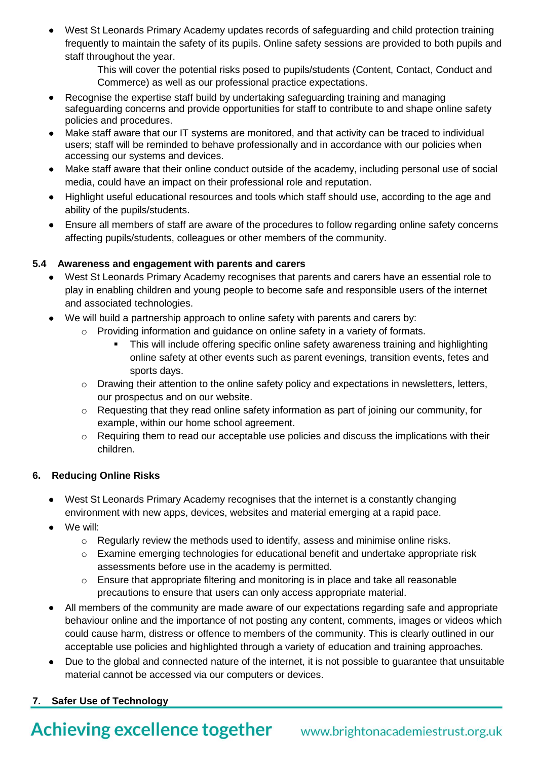West St Leonards Primary Academy updates records of safeguarding and child protection training frequently to maintain the safety of its pupils. Online safety sessions are provided to both pupils and staff throughout the year.

> This will cover the potential risks posed to pupils/students (Content, Contact, Conduct and Commerce) as well as our professional practice expectations.

- Recognise the expertise staff build by undertaking safeguarding training and managing safeguarding concerns and provide opportunities for staff to contribute to and shape online safety policies and procedures.
- Make staff aware that our IT systems are monitored, and that activity can be traced to individual users; staff will be reminded to behave professionally and in accordance with our policies when accessing our systems and devices.
- Make staff aware that their online conduct outside of the academy, including personal use of social media, could have an impact on their professional role and reputation.
- Highlight useful educational resources and tools which staff should use, according to the age and ability of the pupils/students.
- Ensure all members of staff are aware of the procedures to follow regarding online safety concerns affecting pupils/students, colleagues or other members of the community.

# **5.4 Awareness and engagement with parents and carers**

- West St Leonards Primary Academy recognises that parents and carers have an essential role to play in enabling children and young people to become safe and responsible users of the internet and associated technologies.
- We will build a partnership approach to online safety with parents and carers by:
	- $\circ$  Providing information and guidance on online safety in a variety of formats.
		- This will include offering specific online safety awareness training and highlighting online safety at other events such as parent evenings, transition events, fetes and sports days.
	- o Drawing their attention to the online safety policy and expectations in newsletters, letters, our prospectus and on our website.
	- $\circ$  Requesting that they read online safety information as part of joining our community, for example, within our home school agreement.
	- o Requiring them to read our acceptable use policies and discuss the implications with their children.

#### **6. Reducing Online Risks**

- West St Leonards Primary Academy recognises that the internet is a constantly changing environment with new apps, devices, websites and material emerging at a rapid pace.
- We will:
	- o Regularly review the methods used to identify, assess and minimise online risks.
	- o Examine emerging technologies for educational benefit and undertake appropriate risk assessments before use in the academy is permitted.
	- $\circ$  Ensure that appropriate filtering and monitoring is in place and take all reasonable precautions to ensure that users can only access appropriate material.
- All members of the community are made aware of our expectations regarding safe and appropriate behaviour online and the importance of not posting any content, comments, images or videos which could cause harm, distress or offence to members of the community. This is clearly outlined in our acceptable use policies and highlighted through a variety of education and training approaches.
- Due to the global and connected nature of the internet, it is not possible to guarantee that unsuitable material cannot be accessed via our computers or devices.

# **7. Safer Use of Technology**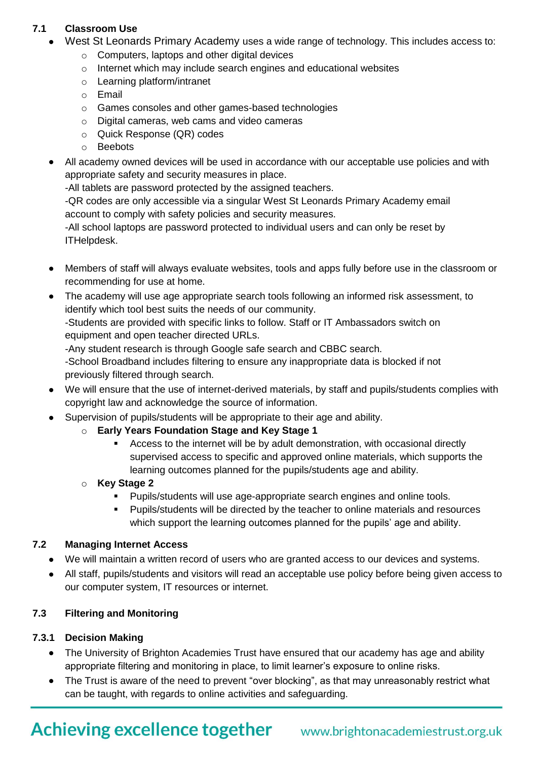# **7.1 Classroom Use**

- West St Leonards Primary Academy uses a wide range of technology. This includes access to:
	- o Computers, laptops and other digital devices
	- o Internet which may include search engines and educational websites
	- o Learning platform/intranet
	- o Email
	- o Games consoles and other games-based technologies
	- o Digital cameras, web cams and video cameras
	- o Quick Response (QR) codes
	- o Beebots
- All academy owned devices will be used in accordance with our acceptable use policies and with appropriate safety and security measures in place.

-All tablets are password protected by the assigned teachers.

-QR codes are only accessible via a singular West St Leonards Primary Academy email account to comply with safety policies and security measures.

-All school laptops are password protected to individual users and can only be reset by ITHelpdesk.

- Members of staff will always evaluate websites, tools and apps fully before use in the classroom or recommending for use at home.
- The academy will use age appropriate search tools following an informed risk assessment, to identify which tool best suits the needs of our community.

-Students are provided with specific links to follow. Staff or IT Ambassadors switch on equipment and open teacher directed URLs.

-Any student research is through Google safe search and CBBC search.

-School Broadband includes filtering to ensure any inappropriate data is blocked if not previously filtered through search.

- We will ensure that the use of internet-derived materials, by staff and pupils/students complies with copyright law and acknowledge the source of information.
- Supervision of pupils/students will be appropriate to their age and ability.
	- o **Early Years Foundation Stage and Key Stage 1**
		- Access to the internet will be by adult demonstration, with occasional directly supervised access to specific and approved online materials, which supports the learning outcomes planned for the pupils/students age and ability.

#### o **Key Stage 2**

- **Pupils/students will use age-appropriate search engines and online tools.**
- Pupils/students will be directed by the teacher to online materials and resources which support the learning outcomes planned for the pupils' age and ability.

#### **7.2 Managing Internet Access**

- We will maintain a written record of users who are granted access to our devices and systems.
- All staff, pupils/students and visitors will read an acceptable use policy before being given access to our computer system, IT resources or internet.

# **7.3 Filtering and Monitoring**

#### **7.3.1 Decision Making**

- The University of Brighton Academies Trust have ensured that our academy has age and ability appropriate filtering and monitoring in place, to limit learner's exposure to online risks.
- The Trust is aware of the need to prevent "over blocking", as that may unreasonably restrict what can be taught, with regards to online activities and safeguarding.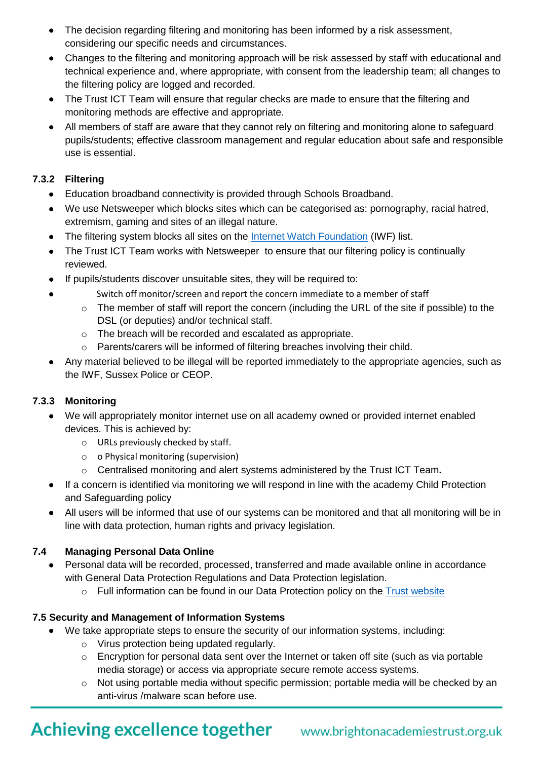- The decision regarding filtering and monitoring has been informed by a risk assessment, considering our specific needs and circumstances.
- Changes to the filtering and monitoring approach will be risk assessed by staff with educational and technical experience and, where appropriate, with consent from the leadership team; all changes to the filtering policy are logged and recorded.
- The Trust ICT Team will ensure that regular checks are made to ensure that the filtering and monitoring methods are effective and appropriate.
- All members of staff are aware that they cannot rely on filtering and monitoring alone to safeguard pupils/students; effective classroom management and regular education about safe and responsible use is essential.

### **7.3.2 Filtering**

- Education broadband connectivity is provided through Schools Broadband.
- We use Netsweeper which blocks sites which can be categorised as: pornography, racial hatred, extremism, gaming and sites of an illegal nature.
- The filtering system blocks all sites on the **Internet Watch Foundation** (IWF) list.
- The Trust ICT Team works with Netsweeper to ensure that our filtering policy is continually reviewed.
- If pupils/students discover unsuitable sites, they will be required to:
	- Switch off monitor/screen and report the concern immediate to a member of staff
		- o The member of staff will report the concern (including the URL of the site if possible) to the DSL (or deputies) and/or technical staff.
		- o The breach will be recorded and escalated as appropriate.
		- o Parents/carers will be informed of filtering breaches involving their child.
- Any material believed to be illegal will be reported immediately to the appropriate agencies, such as the IWF, Sussex Police or CEOP.

# **7.3.3 Monitoring**

- We will appropriately monitor internet use on all academy owned or provided internet enabled devices. This is achieved by:
	- o URLs previously checked by staff.
	- o o Physical monitoring (supervision)
	- o Centralised monitoring and alert systems administered by the Trust ICT Team*.*
- If a concern is identified via monitoring we will respond in line with the academy Child Protection and Safeguarding policy
- All users will be informed that use of our systems can be monitored and that all monitoring will be in line with data protection, human rights and privacy legislation.

# **7.4 Managing Personal Data Online**

- Personal data will be recorded, processed, transferred and made available online in accordance with General Data Protection Regulations and Data Protection legislation.
	- $\circ$  Full information can be found in our Data Protection policy on the [Trust website](https://www.brightonacademiestrust.org.uk/key-policies/data-protection-information)

# **7.5 Security and Management of Information Systems**

- We take appropriate steps to ensure the security of our information systems, including:
	- o Virus protection being updated regularly.
	- o Encryption for personal data sent over the Internet or taken off site (such as via portable media storage) or access via appropriate secure remote access systems.
	- $\circ$  Not using portable media without specific permission; portable media will be checked by an anti-virus /malware scan before use.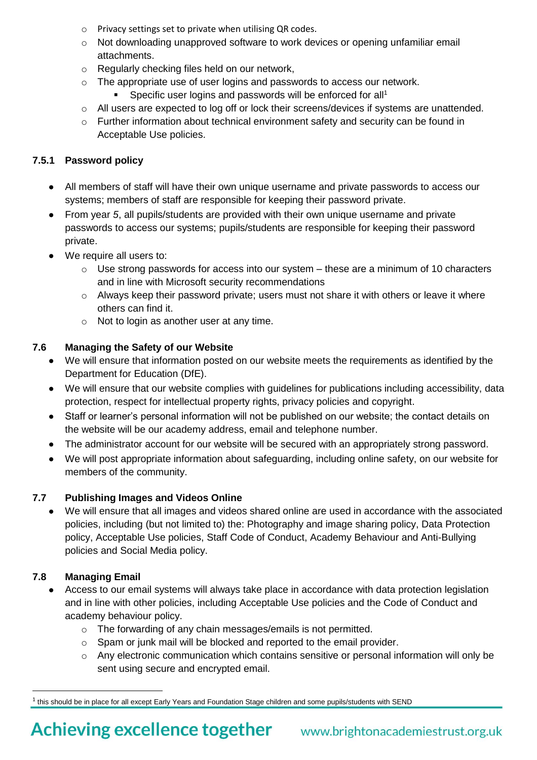- o Privacy settings set to private when utilising QR codes.
- o Not downloading unapproved software to work devices or opening unfamiliar email attachments.
- o Regularly checking files held on our network,
- o The appropriate use of user logins and passwords to access our network.
	- Specific user logins and passwords will be enforced for all<sup>1</sup>
- o All users are expected to log off or lock their screens/devices if systems are unattended.
- $\circ$  Further information about technical environment safety and security can be found in Acceptable Use policies.

# **7.5.1 Password policy**

- All members of staff will have their own unique username and private passwords to access our systems; members of staff are responsible for keeping their password private.
- From year *5*, all pupils/students are provided with their own unique username and private passwords to access our systems; pupils/students are responsible for keeping their password private.
- We require all users to:
	- $\circ$  Use strong passwords for access into our system these are a minimum of 10 characters and in line with Microsoft security recommendations
	- o Always keep their password private; users must not share it with others or leave it where others can find it.
	- o Not to login as another user at any time.

# **7.6 Managing the Safety of our Website**

- We will ensure that information posted on our website meets the requirements as identified by the Department for Education (DfE).
- We will ensure that our website complies with guidelines for publications including accessibility, data protection, respect for intellectual property rights, privacy policies and copyright.
- Staff or learner's personal information will not be published on our website; the contact details on the website will be our academy address, email and telephone number.
- The administrator account for our website will be secured with an appropriately strong password.
- We will post appropriate information about safeguarding, including online safety, on our website for members of the community.

# **7.7 Publishing Images and Videos Online**

 We will ensure that all images and videos shared online are used in accordance with the associated policies, including (but not limited to) the: Photography and image sharing policy, Data Protection policy, Acceptable Use policies, Staff Code of Conduct, Academy Behaviour and Anti-Bullying policies and Social Media policy.

# **7.8 Managing Email**

- Access to our email systems will always take place in accordance with data protection legislation and in line with other policies, including Acceptable Use policies and the Code of Conduct and academy behaviour policy.
	- o The forwarding of any chain messages/emails is not permitted.
	- o Spam or junk mail will be blocked and reported to the email provider.
	- o Any electronic communication which contains sensitive or personal information will only be sent using secure and encrypted email.

l  $^{\rm 1}$  this should be in place for all except Early Years and Foundation Stage children and some pupils/students with SEND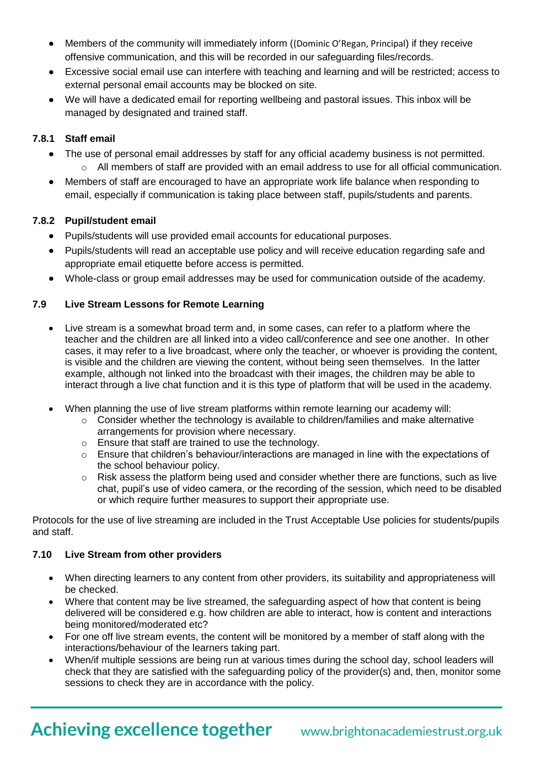- Members of the community will immediately inform ((Dominic O'Regan, Principal) if they receive offensive communication, and this will be recorded in our safeguarding files/records.
- Excessive social email use can interfere with teaching and learning and will be restricted; access to external personal email accounts may be blocked on site.
- We will have a dedicated email for reporting wellbeing and pastoral issues. This inbox will be managed by designated and trained staff.

#### **7.8.1 Staff email**

- The use of personal email addresses by staff for any official academy business is not permitted.
	- $\circ$  All members of staff are provided with an email address to use for all official communication.
- Members of staff are encouraged to have an appropriate work life balance when responding to email, especially if communication is taking place between staff, pupils/students and parents.

#### **7.8.2 Pupil/student email**

- Pupils/students will use provided email accounts for educational purposes.
- Pupils/students will read an acceptable use policy and will receive education regarding safe and appropriate email etiquette before access is permitted.
- Whole-class or group email addresses may be used for communication outside of the academy.

#### **7.9 Live Stream Lessons for Remote Learning**

- Live stream is a somewhat broad term and, in some cases, can refer to a platform where the teacher and the children are all linked into a video call/conference and see one another. In other cases, it may refer to a live broadcast, where only the teacher, or whoever is providing the content, is visible and the children are viewing the content, without being seen themselves. In the latter example, although not linked into the broadcast with their images, the children may be able to interact through a live chat function and it is this type of platform that will be used in the academy.
- When planning the use of live stream platforms within remote learning our academy will:
	- o Consider whether the technology is available to children/families and make alternative arrangements for provision where necessary.
	- o Ensure that staff are trained to use the technology.
	- $\circ$  Ensure that children's behaviour/interactions are managed in line with the expectations of the school behaviour policy.
	- o Risk assess the platform being used and consider whether there are functions, such as live chat, pupil's use of video camera, or the recording of the session, which need to be disabled or which require further measures to support their appropriate use.

Protocols for the use of live streaming are included in the Trust Acceptable Use policies for students/pupils and staff.

#### **7.10 Live Stream from other providers**

- When directing learners to any content from other providers, its suitability and appropriateness will be checked.
- Where that content may be live streamed, the safeguarding aspect of how that content is being delivered will be considered e.g. how children are able to interact, how is content and interactions being monitored/moderated etc?
- For one off live stream events, the content will be monitored by a member of staff along with the interactions/behaviour of the learners taking part.
- When/if multiple sessions are being run at various times during the school day, school leaders will check that they are satisfied with the safeguarding policy of the provider(s) and, then, monitor some sessions to check they are in accordance with the policy.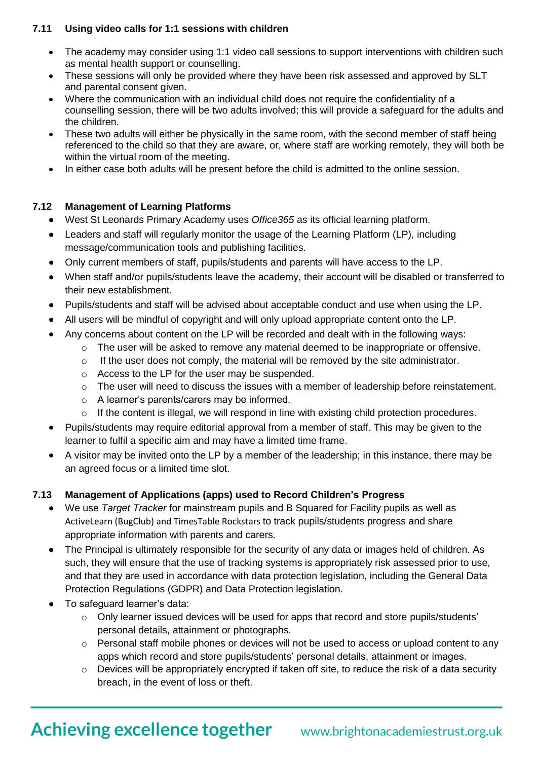#### **7.11 Using video calls for 1:1 sessions with children**

- The academy may consider using 1:1 video call sessions to support interventions with children such as mental health support or counselling.
- These sessions will only be provided where they have been risk assessed and approved by SLT and parental consent given.
- Where the communication with an individual child does not require the confidentiality of a counselling session, there will be two adults involved; this will provide a safeguard for the adults and the children.
- These two adults will either be physically in the same room, with the second member of staff being referenced to the child so that they are aware, or, where staff are working remotely, they will both be within the virtual room of the meeting.
- In either case both adults will be present before the child is admitted to the online session.

# **7.12 Management of Learning Platforms**

- West St Leonards Primary Academy uses *Office365* as its official learning platform.
- Leaders and staff will regularly monitor the usage of the Learning Platform (LP), including message/communication tools and publishing facilities.
- Only current members of staff, pupils/students and parents will have access to the LP.
- When staff and/or pupils/students leave the academy, their account will be disabled or transferred to their new establishment.
- Pupils/students and staff will be advised about acceptable conduct and use when using the LP.
- All users will be mindful of copyright and will only upload appropriate content onto the LP.
- Any concerns about content on the LP will be recorded and dealt with in the following ways:
	- $\circ$  The user will be asked to remove any material deemed to be inappropriate or offensive.
	- $\circ$  If the user does not comply, the material will be removed by the site administrator.
	- o Access to the LP for the user may be suspended.
	- o The user will need to discuss the issues with a member of leadership before reinstatement.
	- o A learner's parents/carers may be informed.
	- o If the content is illegal, we will respond in line with existing child protection procedures.
- Pupils/students may require editorial approval from a member of staff. This may be given to the learner to fulfil a specific aim and may have a limited time frame.
- A visitor may be invited onto the LP by a member of the leadership; in this instance, there may be an agreed focus or a limited time slot.

# **7.13 Management of Applications (apps) used to Record Children's Progress**

- We use *Target Tracker* for mainstream pupils and B Squared for Facility pupils as well as ActiveLearn (BugClub) and TimesTable Rockstars to track pupils/students progress and share appropriate information with parents and carers.
- The Principal is ultimately responsible for the security of any data or images held of children. As such, they will ensure that the use of tracking systems is appropriately risk assessed prior to use, and that they are used in accordance with data protection legislation, including the General Data Protection Regulations (GDPR) and Data Protection legislation.
- To safeguard learner's data:
	- $\circ$  Only learner issued devices will be used for apps that record and store pupils/students' personal details, attainment or photographs.
	- o Personal staff mobile phones or devices will not be used to access or upload content to any apps which record and store pupils/students' personal details, attainment or images.
	- o Devices will be appropriately encrypted if taken off site, to reduce the risk of a data security breach, in the event of loss or theft.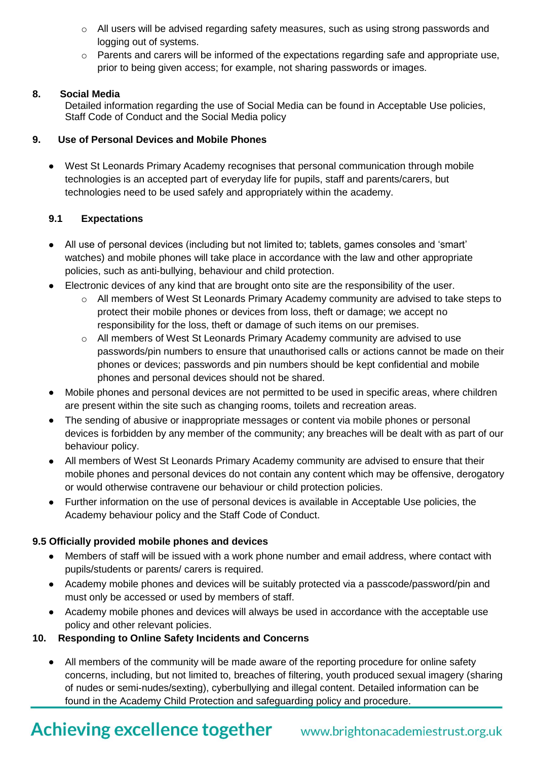- $\circ$  All users will be advised regarding safety measures, such as using strong passwords and logging out of systems.
- $\circ$  Parents and carers will be informed of the expectations regarding safe and appropriate use, prior to being given access; for example, not sharing passwords or images.

### **8. Social Media**

Detailed information regarding the use of Social Media can be found in Acceptable Use policies, Staff Code of Conduct and the Social Media policy

### **9. Use of Personal Devices and Mobile Phones**

 West St Leonards Primary Academy recognises that personal communication through mobile technologies is an accepted part of everyday life for pupils, staff and parents/carers, but technologies need to be used safely and appropriately within the academy.

### **9.1 Expectations**

- All use of personal devices (including but not limited to; tablets, games consoles and 'smart' watches) and mobile phones will take place in accordance with the law and other appropriate policies, such as anti-bullying, behaviour and child protection.
- Electronic devices of any kind that are brought onto site are the responsibility of the user.
	- o All members of West St Leonards Primary Academy community are advised to take steps to protect their mobile phones or devices from loss, theft or damage; we accept no responsibility for the loss, theft or damage of such items on our premises.
	- o All members of West St Leonards Primary Academy community are advised to use passwords/pin numbers to ensure that unauthorised calls or actions cannot be made on their phones or devices; passwords and pin numbers should be kept confidential and mobile phones and personal devices should not be shared.
- Mobile phones and personal devices are not permitted to be used in specific areas, where children are present within the site such as changing rooms, toilets and recreation areas.
- The sending of abusive or inappropriate messages or content via mobile phones or personal devices is forbidden by any member of the community; any breaches will be dealt with as part of our behaviour policy.
- All members of West St Leonards Primary Academy community are advised to ensure that their mobile phones and personal devices do not contain any content which may be offensive, derogatory or would otherwise contravene our behaviour or child protection policies.
- Further information on the use of personal devices is available in Acceptable Use policies, the Academy behaviour policy and the Staff Code of Conduct.

# **9.5 Officially provided mobile phones and devices**

- Members of staff will be issued with a work phone number and email address, where contact with pupils/students or parents/ carers is required.
- Academy mobile phones and devices will be suitably protected via a passcode/password/pin and must only be accessed or used by members of staff.
- Academy mobile phones and devices will always be used in accordance with the acceptable use policy and other relevant policies.

# **10. Responding to Online Safety Incidents and Concerns**

 All members of the community will be made aware of the reporting procedure for online safety concerns, including, but not limited to, breaches of filtering, youth produced sexual imagery (sharing of nudes or semi-nudes/sexting), cyberbullying and illegal content. Detailed information can be found in the Academy Child Protection and safeguarding policy and procedure.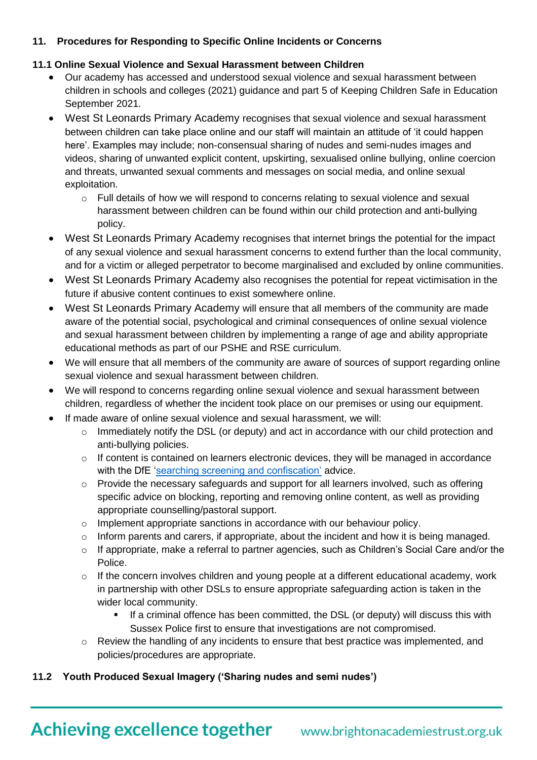# **11. Procedures for Responding to Specific Online Incidents or Concerns**

# **11.1 Online Sexual Violence and Sexual Harassment between Children**

- Our academy has accessed and understood sexual violence and sexual harassment between children in schools and colleges (2021) guidance and part 5 of Keeping Children Safe in Education September 2021.
- West St Leonards Primary Academy recognises that sexual violence and sexual harassment between children can take place online and our staff will maintain an attitude of 'it could happen here'. Examples may include; non-consensual sharing of nudes and semi-nudes images and videos, sharing of unwanted explicit content, upskirting, sexualised online bullying, online coercion and threats, unwanted sexual comments and messages on social media, and online sexual exploitation.
	- $\circ$  Full details of how we will respond to concerns relating to sexual violence and sexual harassment between children can be found within our child protection and anti-bullying policy.
- West St Leonards Primary Academy recognises that internet brings the potential for the impact of any sexual violence and sexual harassment concerns to extend further than the local community, and for a victim or alleged perpetrator to become marginalised and excluded by online communities.
- West St Leonards Primary Academy also recognises the potential for repeat victimisation in the future if abusive content continues to exist somewhere online.
- West St Leonards Primary Academy will ensure that all members of the community are made aware of the potential social, psychological and criminal consequences of online sexual violence and sexual harassment between children by implementing a range of age and ability appropriate educational methods as part of our PSHE and RSE curriculum.
- We will ensure that all members of the community are aware of sources of support regarding online sexual violence and sexual harassment between children.
- We will respond to concerns regarding online sexual violence and sexual harassment between children, regardless of whether the incident took place on our premises or using our equipment.
- If made aware of online sexual violence and sexual harassment, we will:
	- o Immediately notify the DSL (or deputy) and act in accordance with our child protection and anti-bullying policies.
	- o If content is contained on learners electronic devices, they will be managed in accordance with the DfE ['searching screening and confiscation'](https://www.gov.uk/government/publications/searching-screening-and-confiscation) advice.
	- o Provide the necessary safeguards and support for all learners involved, such as offering specific advice on blocking, reporting and removing online content, as well as providing appropriate counselling/pastoral support.
	- o Implement appropriate sanctions in accordance with our behaviour policy.
	- o Inform parents and carers, if appropriate, about the incident and how it is being managed.
	- $\circ$  If appropriate, make a referral to partner agencies, such as Children's Social Care and/or the Police.
	- $\circ$  If the concern involves children and young people at a different educational academy, work in partnership with other DSLs to ensure appropriate safeguarding action is taken in the wider local community.
		- If a criminal offence has been committed, the DSL (or deputy) will discuss this with Sussex Police first to ensure that investigations are not compromised.
	- o Review the handling of any incidents to ensure that best practice was implemented, and policies/procedures are appropriate.

# **11.2 Youth Produced Sexual Imagery ('Sharing nudes and semi nudes')**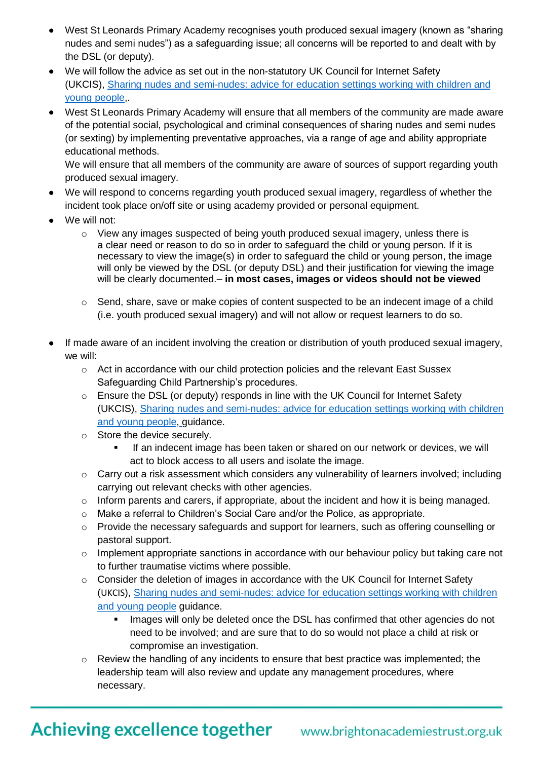- West St Leonards Primary Academy recognises youth produced sexual imagery (known as "sharing nudes and semi nudes") as a safeguarding issue; all concerns will be reported to and dealt with by the DSL (or deputy).
- We will follow the advice as set out in the non-statutory UK Council for Internet Safety (UKCIS), Sharing nudes and [semi-nudes:](https://www.gov.uk/government/publications/sharing-nudes-and-semi-nudes-advice-for-education-settings-working-with-children-and-young-people) advice for education settings working with children and young [people,](https://www.gov.uk/government/publications/sharing-nudes-and-semi-nudes-advice-for-education-settings-working-with-children-and-young-people).
- West St Leonards Primary Academy will ensure that all members of the community are made aware of the potential social, psychological and criminal consequences of sharing nudes and semi nudes (or sexting) by implementing preventative approaches, via a range of age and ability appropriate educational methods.

We will ensure that all members of the community are aware of sources of support regarding youth produced sexual imagery.

- We will respond to concerns regarding youth produced sexual imagery, regardless of whether the incident took place on/off site or using academy provided or personal equipment.
- We will not:
	- $\circ$  View any images suspected of being youth produced sexual imagery, unless there is a clear need or reason to do so in order to safeguard the child or young person. If it is necessary to view the image(s) in order to safeguard the child or young person, the image will only be viewed by the DSL (or deputy DSL) and their justification for viewing the image will be clearly documented.– **in most cases, images or videos should not be viewed**
	- $\circ$  Send, share, save or make copies of content suspected to be an indecent image of a child (i.e. youth produced sexual imagery) and will not allow or request learners to do so.
- If made aware of an incident involving the creation or distribution of youth produced sexual imagery, we will:
	- o Act in accordance with our child protection policies and the relevant East Sussex Safeguarding Child Partnership's procedures.
	- o Ensure the DSL (or deputy) responds in line with the UK Council for Internet Safety (UKCIS), Sharing nudes and [semi-nudes:](https://www.gov.uk/government/publications/sharing-nudes-and-semi-nudes-advice-for-education-settings-working-with-children-and-young-people) advice for education settings working with children and young [people,](https://www.gov.uk/government/publications/sharing-nudes-and-semi-nudes-advice-for-education-settings-working-with-children-and-young-people) guidance.
	- o Store the device securely.
		- **If an indecent image has been taken or shared on our network or devices, we will** act to block access to all users and isolate the image.
	- o Carry out a risk assessment which considers any vulnerability of learners involved; including carrying out relevant checks with other agencies.
	- $\circ$  Inform parents and carers, if appropriate, about the incident and how it is being managed.
	- $\circ$  Make a referral to Children's Social Care and/or the Police, as appropriate.
	- o Provide the necessary safeguards and support for learners, such as offering counselling or pastoral support.
	- o Implement appropriate sanctions in accordance with our behaviour policy but taking care not to further traumatise victims where possible.
	- $\circ$  Consider the deletion of images in accordance with the UK Council for Internet Safety (UKCIS), Sharing nudes and [semi-nudes:](https://www.gov.uk/government/publications/sharing-nudes-and-semi-nudes-advice-for-education-settings-working-with-children-and-young-people) advice for education settings working with children and young [people](https://www.gov.uk/government/publications/sharing-nudes-and-semi-nudes-advice-for-education-settings-working-with-children-and-young-people) guidance.
		- Images will only be deleted once the DSL has confirmed that other agencies do not need to be involved; and are sure that to do so would not place a child at risk or compromise an investigation.
	- $\circ$  Review the handling of any incidents to ensure that best practice was implemented; the leadership team will also review and update any management procedures, where necessary.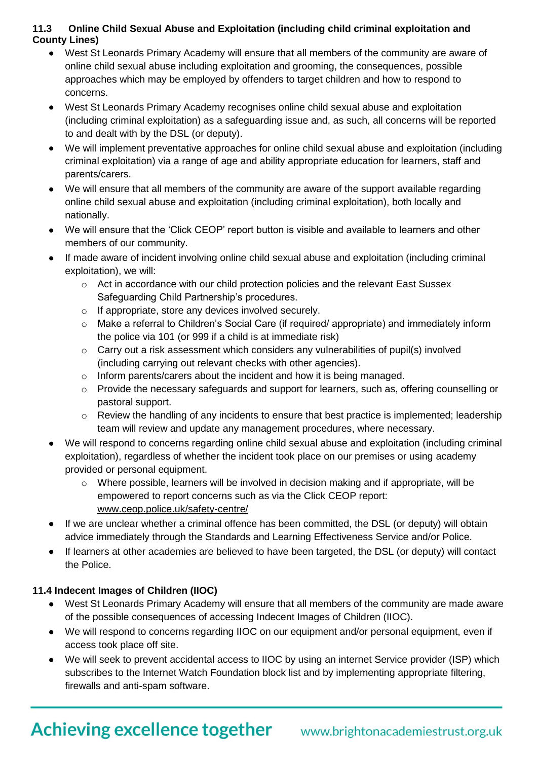### **11.3 Online Child Sexual Abuse and Exploitation (including child criminal exploitation and County Lines)**

- West St Leonards Primary Academy will ensure that all members of the community are aware of online child sexual abuse including exploitation and grooming, the consequences, possible approaches which may be employed by offenders to target children and how to respond to concerns.
- West St Leonards Primary Academy recognises online child sexual abuse and exploitation (including criminal exploitation) as a safeguarding issue and, as such, all concerns will be reported to and dealt with by the DSL (or deputy).
- We will implement preventative approaches for online child sexual abuse and exploitation (including criminal exploitation) via a range of age and ability appropriate education for learners, staff and parents/carers.
- We will ensure that all members of the community are aware of the support available regarding online child sexual abuse and exploitation (including criminal exploitation), both locally and nationally.
- We will ensure that the 'Click CEOP' report button is visible and available to learners and other members of our community.
- If made aware of incident involving online child sexual abuse and exploitation (including criminal exploitation), we will:
	- $\circ$  Act in accordance with our child protection policies and the relevant East Sussex Safeguarding Child Partnership's procedures.
	- o If appropriate, store any devices involved securely.
	- o Make a referral to Children's Social Care (if required/ appropriate) and immediately inform the police via 101 (or 999 if a child is at immediate risk)
	- o Carry out a risk assessment which considers any vulnerabilities of pupil(s) involved (including carrying out relevant checks with other agencies).
	- o Inform parents/carers about the incident and how it is being managed.
	- o Provide the necessary safeguards and support for learners, such as, offering counselling or pastoral support.
	- $\circ$  Review the handling of any incidents to ensure that best practice is implemented; leadership team will review and update any management procedures, where necessary.
- We will respond to concerns regarding online child sexual abuse and exploitation (including criminal exploitation), regardless of whether the incident took place on our premises or using academy provided or personal equipment.
	- o Where possible, learners will be involved in decision making and if appropriate, will be empowered to report concerns such as via the Click CEOP report: [www.ceop.police.uk/safety-centre/](http://www.ceop.police.uk/safety-centre/)
- If we are unclear whether a criminal offence has been committed, the DSL (or deputy) will obtain advice immediately through the Standards and Learning Effectiveness Service and/or Police.
- If learners at other academies are believed to have been targeted, the DSL (or deputy) will contact the Police.

# **11.4 Indecent Images of Children (IIOC)**

- West St Leonards Primary Academy will ensure that all members of the community are made aware of the possible consequences of accessing Indecent Images of Children (IIOC).
- We will respond to concerns regarding IIOC on our equipment and/or personal equipment, even if access took place off site.
- We will seek to prevent accidental access to IIOC by using an internet Service provider (ISP) which subscribes to the Internet Watch Foundation block list and by implementing appropriate filtering, firewalls and anti-spam software.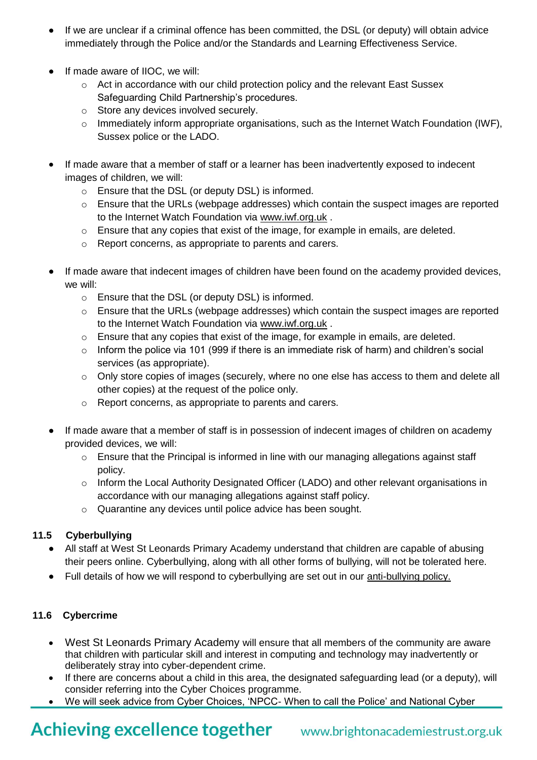- If we are unclear if a criminal offence has been committed, the DSL (or deputy) will obtain advice immediately through the Police and/or the Standards and Learning Effectiveness Service.
- If made aware of IIOC, we will:
	- $\circ$  Act in accordance with our child protection policy and the relevant East Sussex Safeguarding Child Partnership's procedures.
	- o Store any devices involved securely.
	- $\circ$  Immediately inform appropriate organisations, such as the Internet Watch Foundation (IWF), Sussex police or the LADO.
- If made aware that a member of staff or a learner has been inadvertently exposed to indecent images of children, we will:
	- o Ensure that the DSL (or deputy DSL) is informed.
	- $\circ$  Ensure that the URLs (webpage addresses) which contain the suspect images are reported to the Internet Watch Foundation via [www.iwf.org.uk](https://www.iwf.org.uk/) .
	- $\circ$  Ensure that any copies that exist of the image, for example in emails, are deleted.
	- o Report concerns, as appropriate to parents and carers.
- If made aware that indecent images of children have been found on the academy provided devices, we will:
	- o Ensure that the DSL (or deputy DSL) is informed.
	- o Ensure that the URLs (webpage addresses) which contain the suspect images are reported to the Internet Watch Foundation via [www.iwf.org.uk](https://www.iwf.org.uk/) .
	- o Ensure that any copies that exist of the image, for example in emails, are deleted.
	- $\circ$  Inform the police via 101 (999 if there is an immediate risk of harm) and children's social services (as appropriate).
	- o Only store copies of images (securely, where no one else has access to them and delete all other copies) at the request of the police only.
	- o Report concerns, as appropriate to parents and carers.
- If made aware that a member of staff is in possession of indecent images of children on academy provided devices, we will:
	- o Ensure that the Principal is informed in line with our managing allegations against staff policy.
	- o Inform the Local Authority Designated Officer (LADO) and other relevant organisations in accordance with our managing allegations against staff policy.
	- o Quarantine any devices until police advice has been sought.

# **11.5 Cyberbullying**

- All staff at West St Leonards Primary Academy understand that children are capable of abusing their peers online. Cyberbullying, along with all other forms of bullying, will not be tolerated here.
- Full details of how we will respond to cyberbullying are set out in our [anti-bullying policy.](https://resources.finalsite.net/images/v1623057714/brightonacademiestrustorguk/i8mzvjjhfoe7ppuh8spp/AcademypreventingbullyingpolicyJune2021.pdf)

# **11.6 Cybercrime**

- West St Leonards Primary Academy will ensure that all members of the community are aware that children with particular skill and interest in computing and technology may inadvertently or deliberately stray into cyber-dependent crime.
- If there are concerns about a child in this area, the designated safeguarding lead (or a deputy), will consider referring into the Cyber Choices programme.
- We will seek advice from Cyber Choices, 'NPCC- When to call the Police' and National Cyber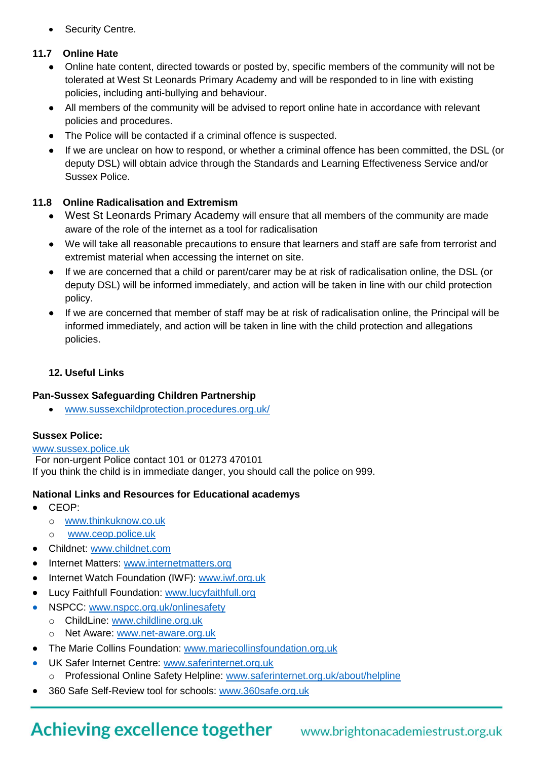Security Centre.

### **11.7 Online Hate**

- Online hate content, directed towards or posted by, specific members of the community will not be tolerated at West St Leonards Primary Academy and will be responded to in line with existing policies, including anti-bullying and behaviour.
- All members of the community will be advised to report online hate in accordance with relevant policies and procedures.
- The Police will be contacted if a criminal offence is suspected.
- If we are unclear on how to respond, or whether a criminal offence has been committed, the DSL (or deputy DSL) will obtain advice through the Standards and Learning Effectiveness Service and/or Sussex Police.

### **11.8 Online Radicalisation and Extremism**

- West St Leonards Primary Academy will ensure that all members of the community are made aware of the role of the internet as a tool for radicalisation
- We will take all reasonable precautions to ensure that learners and staff are safe from terrorist and extremist material when accessing the internet on site.
- If we are concerned that a child or parent/carer may be at risk of radicalisation online, the DSL (or deputy DSL) will be informed immediately, and action will be taken in line with our child protection policy.
- If we are concerned that member of staff may be at risk of radicalisation online, the Principal will be informed immediately, and action will be taken in line with the child protection and allegations policies.

### **12. Useful Links**

#### **Pan-Sussex Safeguarding Children Partnership**

www[.sussexchildprotection.procedures.org.uk/](https://sussexchildprotection.procedures.org.uk/)

# **Sussex Police:**

#### [www.sussex.police.uk](http://www.sussex.police.uk/)

For non-urgent Police contact 101 or 01273 470101 If you think the child is in immediate danger, you should call the police on 999.

#### **National Links and Resources for Educational academys**

- CEOP:
	- o [www.thinkuknow.co.uk](http://www.thinkuknow.co.uk/)
	- [www.ceop.police.uk](http://www.ceop.police.uk/)
- Childnet: [www.childnet.com](http://www.childnet.com/)
- Internet Matters: [www.internetmatters.org](http://www.internetmatters.org/)
- Internet Watch Foundation (IWF): [www.iwf.org.uk](http://www.iwf.org.uk/)
- Lucy Faithfull Foundation: [www.lucyfaithfull.org](http://www.lucyfaithfull.org/)
- NSPCC: [www.nspcc.org.uk/onlinesafety](http://www.nspcc.org.uk/onlinesafety)
	- o ChildLine: [www.childline.org.uk](http://www.childline.org.uk/)
	- o Net Aware: [www.net-aware.org.uk](http://www.net-aware.org.uk/)
- The Marie Collins Foundation: [www.mariecollinsfoundation.org.uk](http://www.mariecollinsfoundation.org.uk/)
- UK Safer Internet Centre: [www.saferinternet.org.uk](http://www.saferinternet.org.uk/) Professional Online Safety Helpline: [www.saferinternet.org.uk/about/helpline](http://www.saferinternet.org.uk/about/helpline)
- 360 Safe Self-Review tool for schools: [www.360safe.org.uk](http://www.360safe.org.uk/)

# **Achieving excellence together**